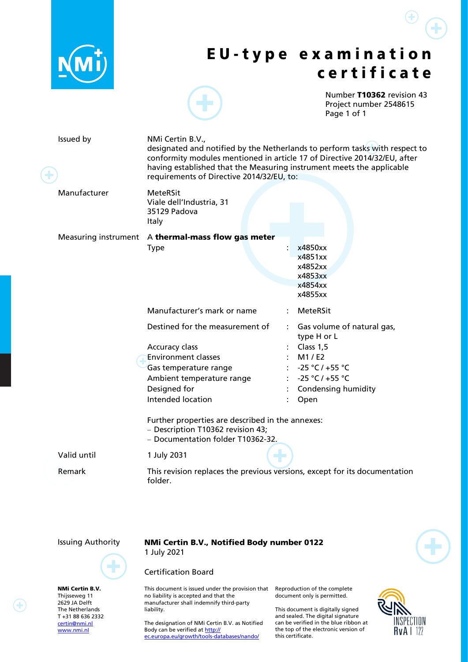

# E U - t y p e e x a m i n a t i o n c e r t i f i c a t e

<span id="page-0-2"></span><span id="page-0-0"></span>Number T10362 revision 43 Project number 2548615 Page 1 of 1

<span id="page-0-1"></span>∓

| Issued by    | NMi Certin B.V.,<br>requirements of Directive 2014/32/EU, to:                                                                                                                                                                                                                                      | designated and notified by the Netherlands to perform tasks with respect to<br>conformity modules mentioned in article 17 of Directive 2014/32/EU, after<br>having established that the Measuring instrument meets the applicable |
|--------------|----------------------------------------------------------------------------------------------------------------------------------------------------------------------------------------------------------------------------------------------------------------------------------------------------|-----------------------------------------------------------------------------------------------------------------------------------------------------------------------------------------------------------------------------------|
| Manufacturer | <b>MeteRSit</b><br>Viale dell'Industria, 31<br>35129 Padova<br><b>Italy</b>                                                                                                                                                                                                                        |                                                                                                                                                                                                                                   |
|              | Measuring instrument A thermal-mass flow gas meter<br><b>Type</b>                                                                                                                                                                                                                                  | x4850xx<br>x4851xx<br>x4852xx<br>x4853xx                                                                                                                                                                                          |
|              |                                                                                                                                                                                                                                                                                                    | x4854xx<br>x4855xx                                                                                                                                                                                                                |
|              | Manufacturer's mark or name<br>Destined for the measurement of<br>Accuracy class<br><b>Environment classes</b><br>Gas temperature range<br>Ambient temperature range<br>Designed for<br>Intended location<br>Further properties are described in the annexes:<br>- Description T10362 revision 43; | MeteRSit<br>: Gas volume of natural gas,<br>type H or L<br>Class 1,5<br>M1/E2<br>$-25 °C / +55 °C$<br>$-25 °C / +55 °C$<br><b>Condensing humidity</b><br>Open                                                                     |
| Valid until  | - Documentation folder T10362-32.<br>1 July 2031                                                                                                                                                                                                                                                   |                                                                                                                                                                                                                                   |
| Remark       | folder.                                                                                                                                                                                                                                                                                            | This revision replaces the previous versions, except for its documentation                                                                                                                                                        |



NMi Certin B.V. Thijsseweg 11 2629 JA Delft The Netherlands T +31 88 636 2332 [certin@nmi.nl](mailto:certin@nmi.nl) [www.nmi.nl](http://www.nmi.nl/)

Issuing Authority NMi Certin B.V., Notified Body number 0122 1 July 2021

### Certification Board

This document is issued under the provision that no liability is accepted and that the manufacturer shall indemnify third-party liability.

The designation of NMi Certin B.V. as Notified Body can be verified a[t http://](http://ec.europa.eu/growth/tools-databases/nando/) [ec.europa.eu/growth/tools-databases/nando/](http://ec.europa.eu/growth/tools-databases/nando/)

Reproduction of the complete document only is permitted.

This document is digitally signed and sealed. The digital signature can be verified in the blue ribbon at the top of the electronic version of this certificate.

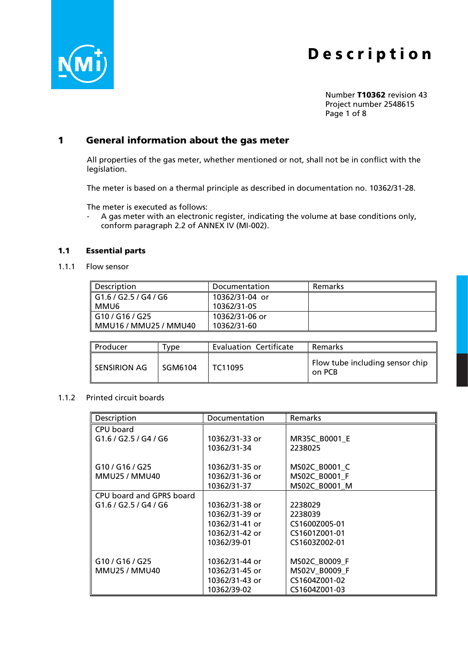

Number [T10362](#page-0-2) revision [43](#page-0-2) Project number [2548615](#page-0-2) Page 1 of 8

# 1 General information about the gas meter

All properties of the gas meter, whether mentioned or not, shall not be in conflict with the legislation.

The meter is based on a thermal principle as described in documentation no. [10362/](#page-0-2)31-28.

The meter is executed as follows:

- A gas meter with an electronic register, indicating the volume at base conditions only, conform paragraph 2.2 of ANNEX IV (MI-002).

### 1.1 Essential parts

1.1.1 Flow sensor

| ll Description        | Documentation  | Remarks |
|-----------------------|----------------|---------|
| G1.6 / G2.5 / G4 / G6 | 10362/31-04 or |         |
| I MMU6                | 10362/31-05    |         |
| G10 / G16 / G25       | 10362/31-06 or |         |
| MMU16 / MMU25 / MMU40 | 10362/31-60    |         |

| Producer       | $^{\mathsf{T}}$ vpe | <b>Evaluation Certificate</b> | Remarks                                   |
|----------------|---------------------|-------------------------------|-------------------------------------------|
| I SENSIRION AG | l SGM6104           | TC11095                       | Flow tube including sensor chip<br>on PCB |

#### 1.1.2 Printed circuit boards

| Description              | Documentation  | <b>Remarks</b>       |
|--------------------------|----------------|----------------------|
| CPU board                |                |                      |
| G1.6 / G2.5 / G4 / G6    | 10362/31-33 or | <b>MR35C B0001 E</b> |
|                          | 10362/31-34    | 2238025              |
|                          |                |                      |
| G10 / G16 / G25          | 10362/31-35 or | MS02C B0001 C        |
| <b>MMU25 / MMU40</b>     | 10362/31-36 or | MS02C B0001 F        |
|                          | 10362/31-37    | MS02C B0001 M        |
| CPU board and GPRS board |                |                      |
| G1.6 / G2.5 / G4 / G6    | 10362/31-38 or | 2238029              |
|                          | 10362/31-39 or | 2238039              |
|                          | 10362/31-41 or | CS1600Z005-01        |
|                          | 10362/31-42 or | CS1601Z001-01        |
|                          | 10362/39-01    | CS1603Z002-01        |
|                          |                |                      |
| G10/G16/G25              | 10362/31-44 or | MS02C_B0009 F        |
| <b>MMU25 / MMU40</b>     | 10362/31-45 or | MS02V B0009 F        |
|                          | 10362/31-43 or | CS1604Z001-02        |
|                          | 10362/39-02    | CS1604Z001-03        |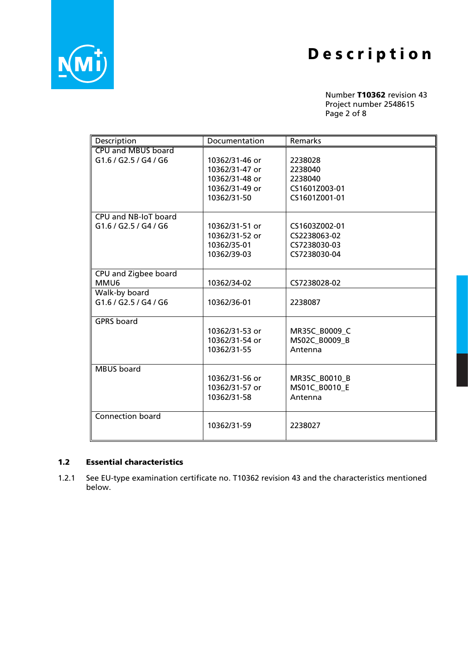

Number [T10362](#page-0-2) revision [43](#page-0-2) Project number [2548615](#page-0-2) Page 2 of 8

| Description             | Documentation  | Remarks       |
|-------------------------|----------------|---------------|
| CPU and MBUS board      |                |               |
| G1.6 / G2.5 / G4 / G6   | 10362/31-46 or | 2238028       |
|                         | 10362/31-47 or | 2238040       |
|                         | 10362/31-48 or | 2238040       |
|                         | 10362/31-49 or | CS1601Z003-01 |
|                         | 10362/31-50    | CS1601Z001-01 |
|                         |                |               |
| CPU and NB-IoT board    |                |               |
| G1.6 / G2.5 / G4 / G6   | 10362/31-51 or | CS1603Z002-01 |
|                         | 10362/31-52 or | CS2238063-02  |
|                         | 10362/35-01    | CS7238030-03  |
|                         | 10362/39-03    | CS7238030-04  |
|                         |                |               |
| CPU and Zigbee board    |                |               |
| MMU6                    | 10362/34-02    | CS7238028-02  |
| Walk-by board           |                |               |
| G1.6 / G2.5 / G4 / G6   | 10362/36-01    | 2238087       |
|                         |                |               |
| <b>GPRS</b> board       |                |               |
|                         | 10362/31-53 or | MR35C B0009 C |
|                         | 10362/31-54 or | MS02C_B0009_B |
|                         | 10362/31-55    | Antenna       |
|                         |                |               |
| <b>MBUS</b> board       |                |               |
|                         | 10362/31-56 or | MR35C B0010 B |
|                         | 10362/31-57 or | MS01C B0010 E |
|                         | 10362/31-58    | Antenna       |
|                         |                |               |
| <b>Connection board</b> |                |               |
|                         | 10362/31-59    | 2238027       |
|                         |                |               |

### 1.2 Essential characteristics

1.2.1 See EU-type examination certificate no. [T10362](#page-0-2) revision [43](#page-0-2) and the characteristics mentioned below.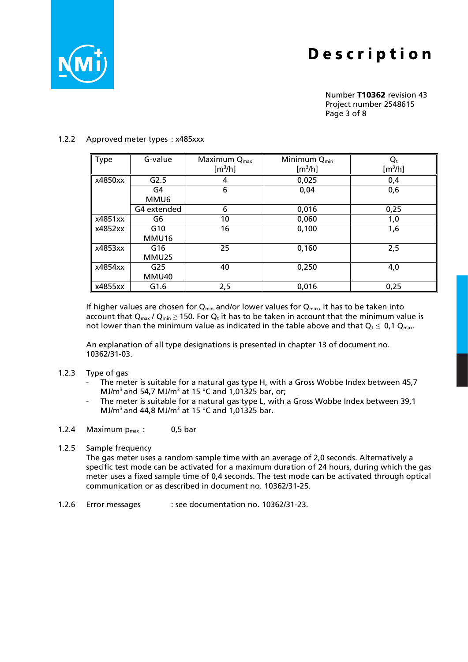

Number [T10362](#page-0-2) revision [43](#page-0-2) Project number [2548615](#page-0-2) Page 3 of 8

### 1.2.2 Approved meter types : x485xxx

| Type    | G-value     | Maximum Q <sub>max</sub> | Minimum Q <sub>min</sub> | $\mathbf{Q}_\mathsf{t}$ |
|---------|-------------|--------------------------|--------------------------|-------------------------|
|         |             | [m <sup>3</sup> /h]      | [m <sup>3</sup> /h]      | $\rm [m^3/h]$           |
| x4850xx | G2.5        | 4                        | 0,025                    | 0,4                     |
|         | G4          | 6                        | 0,04                     | 0,6                     |
|         | MMU6        |                          |                          |                         |
|         | G4 extended | 6                        | 0,016                    | 0,25                    |
| x4851xx | G6          | 10                       | 0,060                    | 1,0                     |
| x4852xx | G10         | 16                       | 0,100                    | 1,6                     |
|         | MMU16       |                          |                          |                         |
| x4853xx | G16         | 25                       | 0,160                    | 2,5                     |
|         | MMU25       |                          |                          |                         |
| x4854xx | G25         | 40                       | 0,250                    | 4,0                     |
|         | MMU40       |                          |                          |                         |
| x4855xx | G1.6        | 2,5                      | 0,016                    | 0,25                    |

If higher values are chosen for  $Q_{min}$  and/or lower values for  $Q_{max}$ , it has to be taken into account that  $Q_{max}$  /  $Q_{min} \ge 150$ . For  $Q_t$  it has to be taken in account that the minimum value is not lower than the minimum value as indicated in the table above and that  $Q_t \leq 0.1 Q_{\text{max}}$ .

An explanation of all type designations is presented in chapter 13 of document no. [10362/](#page-0-2)31-03.

- 1.2.3 Type of gas
	- The meter is suitable for a natural gas type H, with a Gross Wobbe Index between 45,7 MJ/ $m^3$  and 54,7 MJ/ $m^3$  at 15 °C and 1,01325 bar, or;
	- The meter is suitable for a natural gas type L, with a Gross Wobbe Index between 39,1 MJ/ $m^3$  and 44,8 MJ/ $m^3$  at 15 °C and 1,01325 bar.
- 1.2.4 Maximum  $p_{max}$  : 0,5 bar

### 1.2.5 Sample frequency

The gas meter uses a random sample time with an average of 2,0 seconds. Alternatively a specific test mode can be activated for a maximum duration of 24 hours, during which the gas meter uses a fixed sample time of 0,4 seconds. The test mode can be activated through optical communication or as described in document no. [10362/](#page-0-2)31-25.

1.2.6 Error messages : see documentation no. [10362/](#page-0-2)31-23.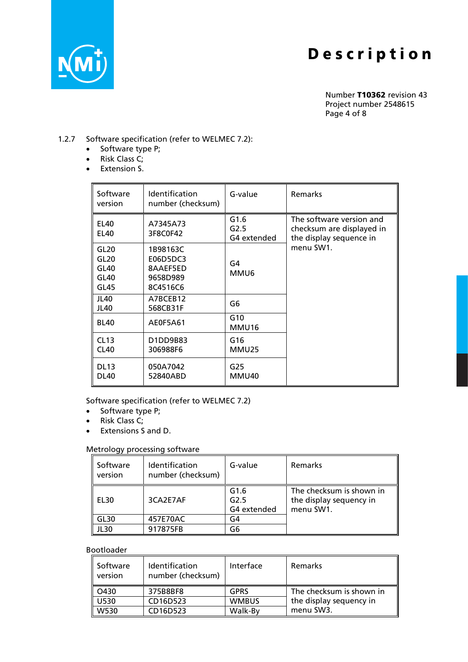

Number [T10362](#page-0-2) revision [43](#page-0-2) Project number [2548615](#page-0-2) Page 4 of 8

### 1.2.7 Software specification (refer to WELMEC 7.2):

- Software type P;
- Risk Class C;
- Extension S.

| Software<br>version                                          | Identification<br>number (checksum)                      | G-value                     | Remarks                                                                          |
|--------------------------------------------------------------|----------------------------------------------------------|-----------------------------|----------------------------------------------------------------------------------|
| <b>EL40</b><br><b>EL40</b>                                   | A7345A73<br>3F8C0F42                                     | G1.6<br>G2.5<br>G4 extended | The software version and<br>checksum are displayed in<br>the display sequence in |
| GL <sub>20</sub><br>GL <sub>20</sub><br>GL40<br>GL40<br>GL45 | 1B98163C<br>E06D5DC3<br>8AAEF5ED<br>9658D989<br>8C4516C6 | G4<br>MMU6                  | menu SW1.                                                                        |
| JL40<br>JL40                                                 | A7BCEB12<br>568CB31F                                     | G6                          |                                                                                  |
| <b>BL40</b>                                                  | AE0F5A61                                                 | G10<br>MMU16                |                                                                                  |
| CL13<br>CL40                                                 | D1DD9B83<br>306988F6                                     | G16<br>MMU25                |                                                                                  |
| <b>DL13</b><br><b>DL40</b>                                   | 050A7042<br>52840ABD                                     | G <sub>25</sub><br>MMU40    |                                                                                  |

Software specification (refer to WELMEC 7.2)

- Software type P;
- Risk Class C;
- Extensions S and D.

# Metrology processing software

| Software<br>version | Identification<br>number (checksum) | G-value                     | <b>Remarks</b>                                                   |
|---------------------|-------------------------------------|-----------------------------|------------------------------------------------------------------|
| EL30                | 3CA2E7AF                            | G1.6<br>G2.5<br>G4 extended | The checksum is shown in<br>the display sequency in<br>menu SW1. |
| GL30                | 457E70AC                            | G4                          |                                                                  |
| <b>JL30</b>         | 917875FB                            | G6                          |                                                                  |

### Bootloader

| Software<br>version | Identification<br>number (checksum) | Interface    | <b>Remarks</b>           |
|---------------------|-------------------------------------|--------------|--------------------------|
| O430                | 375B8BF8                            | <b>GPRS</b>  | The checksum is shown in |
| U530                | CD16D523                            | <b>WMBUS</b> | the display sequency in  |
| W530                | CD16D523                            | Walk-By      | menu SW3.                |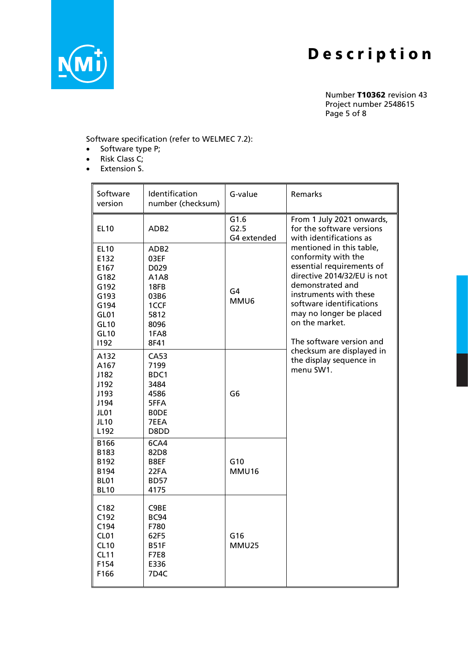

Number [T10362](#page-0-2) revision [43](#page-0-2) Project number [2548615](#page-0-2) Page 5 of 8

Software specification (refer to WELMEC 7.2):

- Software type P;
- Risk Class C;
- Extension S.

| Software<br>version                                                                                       | Identification<br>number (checksum)                                                                           | G-value                     | Remarks                                                                                                                                                                                                                                                        |
|-----------------------------------------------------------------------------------------------------------|---------------------------------------------------------------------------------------------------------------|-----------------------------|----------------------------------------------------------------------------------------------------------------------------------------------------------------------------------------------------------------------------------------------------------------|
| <b>EL10</b>                                                                                               | ADB <sub>2</sub>                                                                                              | G1.6<br>G2.5<br>G4 extended | From 1 July 2021 onwards,<br>for the software versions<br>with identifications as                                                                                                                                                                              |
| <b>EL10</b><br>E132<br>E167<br>G182<br>G192<br>G193<br>G194<br>GL01<br><b>GL10</b><br><b>GL10</b><br>1192 | ADB <sub>2</sub><br>03EF<br>D <sub>0</sub> 29<br>A1A8<br>18FB<br>03B6<br>1CCF<br>5812<br>8096<br>1FA8<br>8F41 | G4<br>MMU6                  | mentioned in this table,<br>conformity with the<br>essential requirements of<br>directive 2014/32/EU is not<br>demonstrated and<br>instruments with these<br>software identifications<br>may no longer be placed<br>on the market.<br>The software version and |
| A132<br>A167<br>J182<br>J192<br>J193<br>J194<br>JL01<br><b>JL10</b><br>L192                               | <b>CA53</b><br>7199<br>BDC1<br>3484<br>4586<br>5FFA<br><b>BODE</b><br>7EEA<br>D8DD                            | G <sub>6</sub>              | checksum are displayed in<br>the display sequence in<br>menu SW1.                                                                                                                                                                                              |
| B166<br>B183<br>B192<br>B194<br><b>BL01</b><br><b>BL10</b>                                                | 6CA4<br>82D8<br>B8EF<br>22FA<br><b>BD57</b><br>4175                                                           | G10<br><b>MMU16</b>         |                                                                                                                                                                                                                                                                |
| C182<br>C192<br>C194<br>CL01<br>CL10<br><b>CL11</b><br>F154<br>F166                                       | C9BE<br>BC94<br>F780<br>62F5<br><b>B51F</b><br><b>F7E8</b><br>E336<br>7D4C                                    | G16<br><b>MMU25</b>         |                                                                                                                                                                                                                                                                |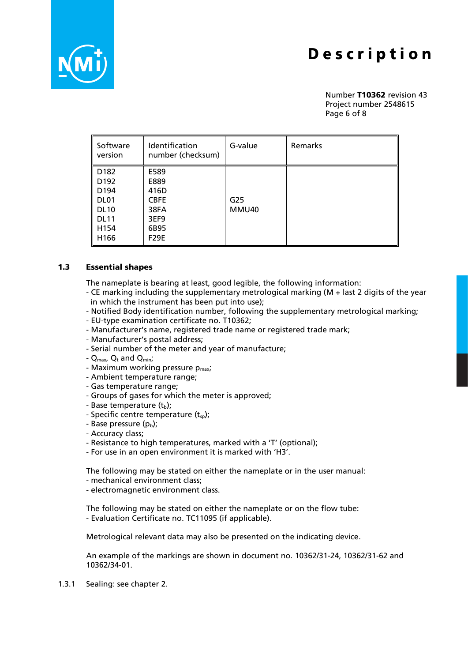

Number [T10362](#page-0-2) revision [43](#page-0-2) Project number [2548615](#page-0-2) Page 6 of 8

| Software<br>version                                                                                                        | Identification<br>number (checksum)                                        | G-value      | Remarks |
|----------------------------------------------------------------------------------------------------------------------------|----------------------------------------------------------------------------|--------------|---------|
| D182<br>D <sub>192</sub><br>D <sub>194</sub><br>DL <sub>01</sub><br><b>DL10</b><br><b>DL11</b><br>H154<br>H <sub>166</sub> | E589<br>E889<br>416D<br><b>CBFE</b><br>38FA<br>3EF9<br>6B95<br><b>F29E</b> | G25<br>MMU40 |         |

#### 1.3 Essential shapes

The nameplate is bearing at least, good legible, the following information:

- CE marking including the supplementary metrological marking (M + last 2 digits of the year in which the instrument has been put into use);
- Notified Body identification number, following the supplementary metrological marking;
- EU-type examination certificate no. [T10362;](#page-0-2)
- Manufacturer's name, registered trade name or registered trade mark;
- Manufacturer's postal address;
- Serial number of the meter and year of manufacture;
- $Q_{max}$ ,  $Q_t$  and  $Q_{min}$ ;
- Maximum working pressure  $p_{max}$ ;
- Ambient temperature range;
- Gas temperature range;
- Groups of gases for which the meter is approved;
- Base temperature  $(t_b)$ ;
- Specific centre temperature  $(t_{\text{so}})$ ;
- Base pressure  $(p_b)$ ;
- Accuracy class;
- Resistance to high temperatures, marked with a 'T' (optional);
- For use in an open environment it is marked with 'H3'.

The following may be stated on either the nameplate or in the user manual:

- mechanical environment class;
- electromagnetic environment class.

The following may be stated on either the nameplate or on the flow tube: - Evaluation Certificate no. TC11095 (if applicable).

Metrological relevant data may also be presented on the indicating device.

An example of the markings are shown in document no. [10362/](#page-0-2)31-24, [10362/](#page-0-2)31-62 and [10362/](#page-0-2)34-01.

1.3.1 Sealing: see chapter 2.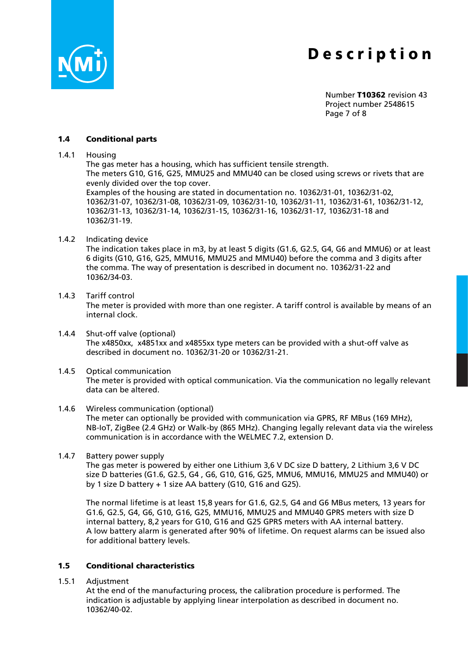

Number [T10362](#page-0-2) revision [43](#page-0-2) Project number [2548615](#page-0-2) Page 7 of 8

### 1.4 Conditional parts

1.4.1 Housing

The gas meter has a housing, which has sufficient tensile strength. The meters G10, G16, G25, MMU25 and MMU40 can be closed using screws or rivets that are evenly divided over the top cover.

Examples of the housing are stated in documentation no. [10362/](#page-0-2)31-01, [10362/](#page-0-2)31-02, [10362/](#page-0-2)31-07, [10362/](#page-0-2)31-08, [10362/](#page-0-2)31-09, [10362/](#page-0-2)31-10, [10362/](#page-0-2)31-11, [10362/](#page-0-2)31-61, [10362/](#page-0-2)31-12, [10362/](#page-0-2)31-13, [10362/](#page-0-2)31-14, [10362/](#page-0-2)31-15, [10362/](#page-0-2)31-16, [10362/](#page-0-2)31-17, [10362/](#page-0-2)31-18 and [10362/](#page-0-2)31-19.

1.4.2 Indicating device

The indication takes place in m3, by at least 5 digits (G1.6, G2.5, G4, G6 and MMU6) or at least 6 digits (G10, G16, G25, MMU16, MMU25 and MMU40) before the comma and 3 digits after the comma. The way of presentation is described in document no. [10362/](#page-0-2)31-22 and [10362/](#page-0-2)34-03.

1.4.3 Tariff control

The meter is provided with more than one register. A tariff control is available by means of an internal clock.

- 1.4.4 Shut-off valve (optional) The x4850xx, x4851xx and x4855xx type meters can be provided with a shut-off valve as described in document no. [10362/](#page-0-2)31-20 or [10362/](#page-0-2)31-21.
- 1.4.5 Optical communication The meter is provided with optical communication. Via the communication no legally relevant data can be altered.

## 1.4.6 Wireless communication (optional)

The meter can optionally be provided with communication via GPRS, RF MBus (169 MHz), NB-IoT, ZigBee (2.4 GHz) or Walk-by (865 MHz). Changing legally relevant data via the wireless communication is in accordance with the WELMEC 7.2, extension D.

1.4.7 Battery power supply

The gas meter is powered by either one Lithium 3,6 V DC size D battery, 2 Lithium 3,6 V DC size D batteries (G1.6, G2.5, G4 , G6, G10, G16, G25, MMU6, MMU16, MMU25 and MMU40) or by 1 size D battery + 1 size AA battery (G10, G16 and G25).

The normal lifetime is at least 15,8 years for G1.6, G2.5, G4 and G6 MBus meters, 13 years for G1.6, G2.5, G4, G6, G10, G16, G25, MMU16, MMU25 and MMU40 GPRS meters with size D internal battery, 8,2 years for G10, G16 and G25 GPRS meters with AA internal battery. A low battery alarm is generated after 90% of lifetime. On request alarms can be issued also for additional battery levels.

### 1.5 Conditional characteristics

1.5.1 Adjustment

At the end of the manufacturing process, the calibration procedure is performed. The indication is adjustable by applying linear interpolation as described in document no. [10362/](#page-0-2)40-02.